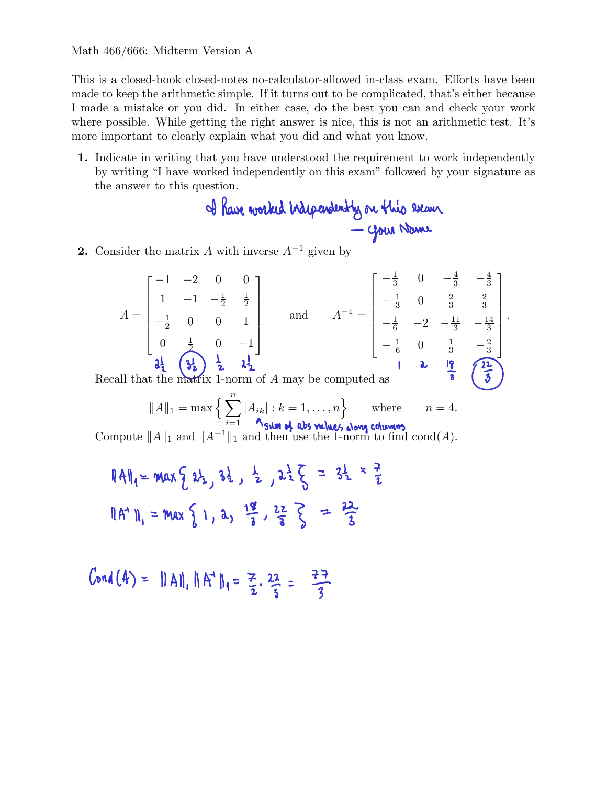This is a closed-book closed-notes no-calculator-allowed in-class exam. Efforts have been made to keep the arithmetic simple. If it turns out to be complicated, that's either because I made a mistake or you did. In either case, do the best you can and check your work where possible. While getting the right answer is nice, this is not an arithmetic test. It's more important to clearly explain what you did and what you know.

1. Indicate in writing that you have understood the requirement to work independently by writing "I have worked independently on this exam" followed by your signature as the answer to this question.

2. Consider the matrix A with inverse  $A^{-1}$  given by

$$
A = \begin{bmatrix} -1 & -2 & 0 & 0 \\ 1 & -1 & -\frac{1}{2} & \frac{1}{2} \\ -\frac{1}{2} & 0 & 0 & 1 \\ 0 & \frac{1}{2} & 0 & -1 \end{bmatrix} \text{ and } A^{-1} = \begin{bmatrix} -\frac{1}{3} & 0 & -\frac{4}{3} & -\frac{4}{3} \\ -\frac{1}{3} & 0 & \frac{2}{3} & \frac{2}{3} \\ -\frac{1}{6} & -2 & -\frac{11}{3} & -\frac{14}{3} \\ -\frac{1}{6} & 0 & \frac{1}{3} & -\frac{2}{3} \\ -\frac{1}{6} & 0 & \frac{1}{3} & -\frac{2}{3} \end{bmatrix}.
$$

Recall that the matrix 1-norm of A may be computed as

$$
||A||_1 = \max\Big\{\sum_{i=1}^n |A_{ik}| : k = 1,\ldots,n\Big\} \quad \text{where} \quad n = 4.
$$

Compute  $||A||_1$  and  $||A^{-1}||_1$  and then use the 1-norm to find cond(A).

$$
||A||_1 = max \{ 2\frac{1}{2}, 3\frac{1}{2}, 2\frac{1}{2} \} = 3\frac{1}{2} = \frac{3}{2}
$$
  
 $||A^4||_1 = max \{ 1, 2, \frac{18}{3}, \frac{22}{3} \} = \frac{22}{3}$ 

$$
Cond(4) = ||A||, ||A^4||_1 = \frac{7}{2} \cdot \frac{22}{3} = \frac{77}{3}
$$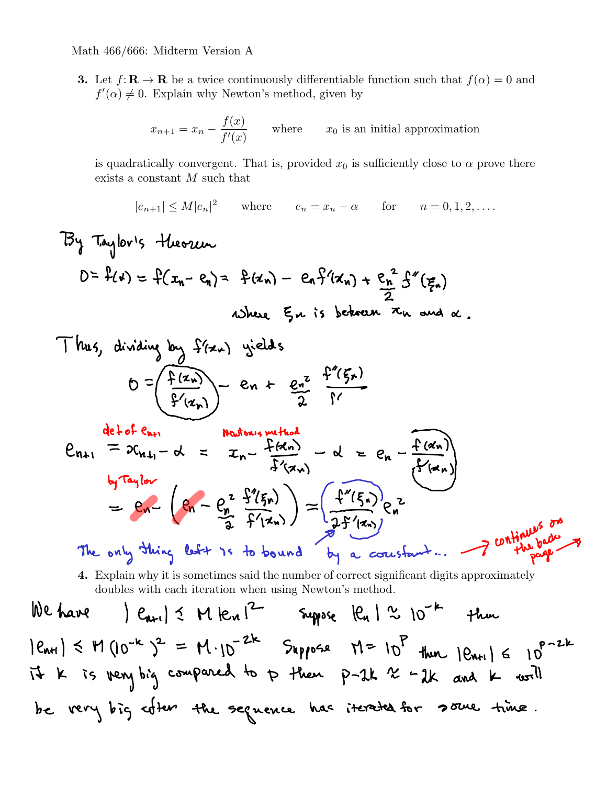$\epsilon$ 

3. Let  $f: \mathbf{R} \to \mathbf{R}$  be a twice continuously differentiable function such that  $f(\alpha) = 0$  and  $f'(\alpha) \neq 0$ . Explain why Newton's method, given by

$$
x_{n+1} = x_n - \frac{f(x)}{f'(x)}
$$
 where  $x_0$  is an initial approximation

is quadratically convergent. That is, provided  $x_0$  is sufficiently close to  $\alpha$  prove there exists a constant  $M$  such that

 $|e_{n+1}| \le M |e_n|^2$  where  $e_n = x_n - \alpha$  for  $n = 0, 1, 2, ....$ 

By Taylor's theorem  
\n
$$
D = f(x) = f(x_{n} - e_{n}) = f(x_{n}) - e_{n}f'(x_{n}) + \frac{e_{n}^{2}}{2}f''(\xi_{n})
$$
\nwhere  $\xi_{n}$  is between  $x_{n}$  and  $\alpha$ .

Thus, dividing by 
$$
f(z_w)
$$
 yields  
\n
$$
0 = \left(\frac{f(z_w)}{f'(z_w)}\right) = en + \frac{e^z}{2} = \frac{f''(\xi_v)}{1}
$$
\n
$$
y = \frac{f'''(z_w)}{2}
$$

$$
e_{n+1} = 2c_{n+1} - d = x_n - \frac{f(a_n)}{f'(a_n)} - d = e_n - \frac{f(a_n)}{f'(a_n)}
$$
  
\n
$$
b_f \tan \theta v
$$
  
\n
$$
= e_n - \left( e_n - \frac{e_n^2}{2} \frac{f'(f_n)}{f'(a_n)} \right) = \left( \frac{f''(f_n)}{2f'(a_n)} \right) e_n^2
$$
  
\nThe only thing left is to bound by a constant...

4. Explain why it is sometimes said the number of correct significant digits approximately doubles with each iteration when using Newton's method.

We have 
$$
|e_{n+1}| \le M |e_{n}|^2
$$
 Suppose  $|e_{n}| \approx 10^{-k}$  then  
\n $|e_{n+1}| \le M (10^{-k})^2 = M \cdot 10^{-2k}$  Suppose  $N = 10^P$  than  $|e_{n+1}| \le 10^{P-2k}$   
\n $14 k$  is very big compared to p. then p-2k  $\approx -2k$  and k- $w=1$   
\n $16 k$  very big other. The sequence has iterated for 2500e, time.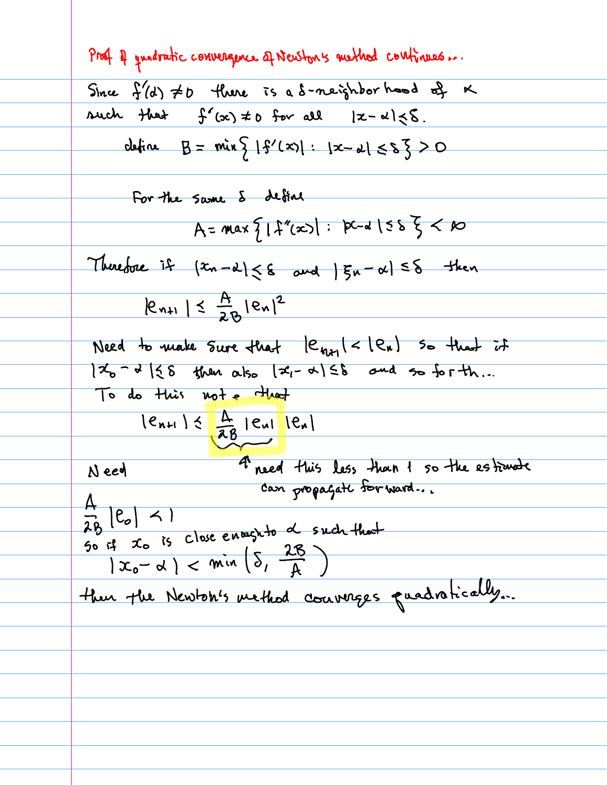Prof 4 quadratic convergence of Newton's method continues... Since  $f'(d) \neq 0$  there is a s-neighbor hood of  $K$ such that  $f'(x) \neq 0$  for all  $|x-\alpha| \leq \delta$ . define  $B = min \{1\}^{\prime}(x) | : |x - \alpha| \leq s \leq > 0$ For the same & define  $A = max \{ |f''(x)| : |p-1| \leq 5 \} < \infty$ Therefore if  $\{x_n - \alpha\} \leq \epsilon$  and  $|\xi_n - \alpha| \leq \delta$  then  $|e_{n+1}| \leq \frac{A}{2R} |e_n|^2$ Need to make Sure that  $|e_{n+1}| < |e_n|$  so that it  $7x_{b} - 3$  (28 then also  $x_{i} - 3$ )  $58$  and so for th... To do this not e that  $\frac{1e_{n+1}}{16}$   $\frac{A}{16}$   $|e_{n}|$   $|e_{n}|$ 4 need this less than 1 so the estimate Need can propagate for ward...  $\frac{A}{2B}$   $|e_{o}|$  < 1 AB ' "I :<br>So if to is close enough to d such that  $|x_{0}-\alpha| < min_{\alpha}(\delta, \frac{2B}{4})$ then the Newton's method courages quadratically...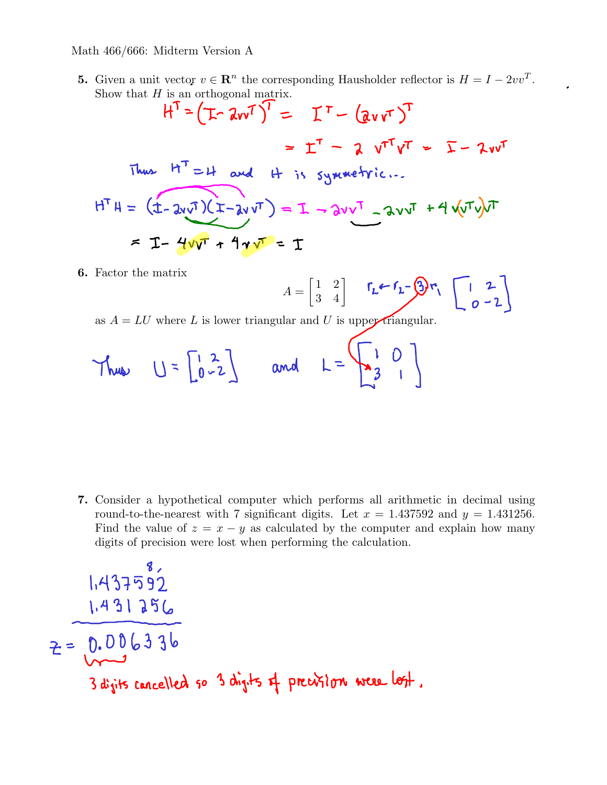- 5. Given a unit vector  $v \in \mathbb{R}^n$  the corresponding Hausholder reflector is  $H = I 2vv^T$ .
- Show that H is an orthogonal matrix.<br> $H^T \approx (\pm \sqrt{2}v)^T = \pm T (\sqrt{2}v)^T$  $=$   $\Gamma$ <sup>T</sup> - 2  $V$ <sup>T</sup> $V$ <sup>T</sup> =  $\Gamma$  - 2  $V$ Thus  $H^T = H$  and  $H$  is symmetric...  $H^TH = (1 - 2v\sqrt{1})(1 - 2v\sqrt{1}) = I - 2v\sqrt{1} - 2v\sqrt{1} + 4\sqrt{1}v\sqrt{1}$  $= I - 4v\overline{v} + 4v\overline{v} = T$ 6. Factor the matrix
	- $A =$  $\begin{bmatrix} 1 & 2 \\ 3 & 4 \end{bmatrix}$
	- as  $A = LU$  where L is lower triangular and U is upper triangular.
	- Thus  $U = \begin{bmatrix} 1 & 2 \\ 0 & -2 \end{bmatrix}$  and  $L = \begin{bmatrix} 1 & 0 \\ 3 & 1 \end{bmatrix}$

7. Consider a hypothetical computer which performs all arithmetic in decimal using round-to-the-nearest with 7 significant digits. Let  $x = 1.437592$  and  $y = 1.431256$ . Find the value of  $z = x - y$  as calculated by the computer and explain how many digits of precision were lost when performing the calculation.

$$
1.437592
$$
  
\n $2 = 0.006336$   
\n3 digits tancelled so 3 digits of peration were left.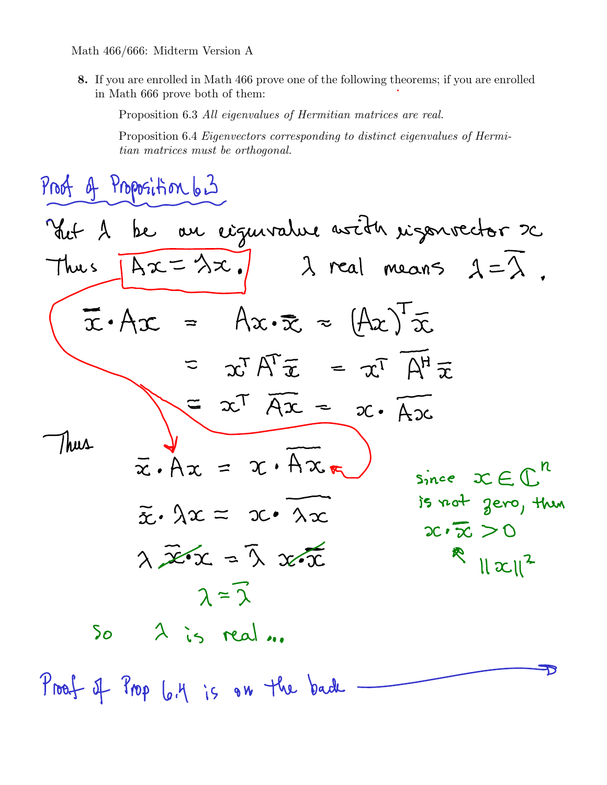8. If you are enrolled in Math 466 prove one of the following theorems; if you are enrolled in Math 666 prove both of them:

Proposition 6.3 All eigenvalues of Hermitian matrices are real.

Proposition 6.4 Eigenvectors corresponding to distinct eigenvalues of Hermitian matrices must be orthogonal.

Proof of Proposition 6.3 Viet 2 be au cigurature avoit rigouvector 20  $\sqrt{Ax = \lambda x}$  )  $\lambda$  real means  $\lambda = \lambda$ . Thus  $\bar{x} \cdot A x = Ax \cdot \bar{x} = (Ax)^{1} \bar{x}$  $= \alpha^T A^T \tilde{x} = \alpha^T A^H \tilde{x}$  $= x^{T} \overline{Ax} = x \cdot \overline{Ax}$ Thus  $\bar{x} \cdot Ax = x \cdot Ax \cdot x$ Since  $x \in \mathbb{C}^n$ is not gero, then  $\widetilde{\mathbf{x}} \cdot \lambda \mathbf{x} = \mathbf{x} \cdot \lambda \mathbf{x}$  $2c \cdot \overline{x} > 0$  $\lambda$   $\overline{x}$  or  $\lambda$   $\overline{x}$   $\overline{x}$  $\mathbb{R}$   $||x||^2$  $2=\widehat{2}$  $\lambda$  is real ...  $50^{\circ}$ Proof of Prop 6.4 is on the bade